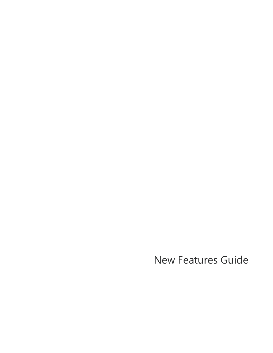New Features Guide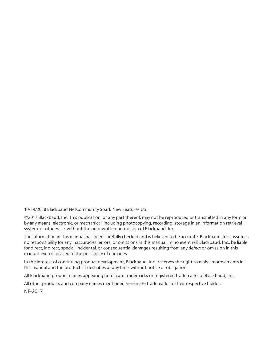10/19/2018 Blackbaud NetCommunity Spark New Features US

©2017 Blackbaud, Inc. This publication, or any part thereof, may not be reproduced or transmitted in any form or by any means, electronic, or mechanical, including photocopying, recording, storage in an information retrieval system, or otherwise, without the prior written permission of Blackbaud, Inc.

The information in this manual has been carefully checked and is believed to be accurate. Blackbaud, Inc., assumes no responsibility for any inaccuracies, errors, or omissions in this manual. In no event will Blackbaud, Inc., be liable for direct, indirect, special, incidental, or consequential damages resulting from any defect or omission in this manual, even if advised of the possibility of damages.

In the interest of continuing product development, Blackbaud, Inc., reserves the right to make improvements in this manual and the products it describes at any time, without notice or obligation.

All Blackbaud product names appearing herein are trademarks or registered trademarks of Blackbaud, Inc.

All other products and company names mentioned herein are trademarks of their respective holder.

NF-2017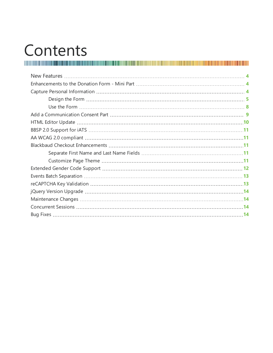# Contents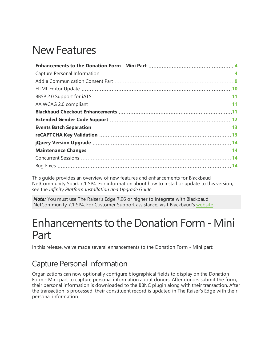# <span id="page-3-0"></span>New Features

This guide provides an overview of new features and enhancements for Blackbaud NetCommunity Spark 7.1 SP4. For information about how to install or update to this version, see the *Infinity Platform Installation and Upgrade Guide*.

<span id="page-3-1"></span>*Note:* You must use The Raiser's Edge 7.96 or higher to integrate with Blackbaud NetCommunity 7.1 SP4. For Customer Support assistance, visit Blackbaud's [website](https://www.blackbaud.com/support/support.aspx).

# Enhancements to the Donation Form - Mini Part

In this release, we've made several enhancements to the Donation Form - Mini part:

### <span id="page-3-2"></span>Capture Personal Information

Organizations can now optionally configure biographical fields to display on the Donation Form - Mini part to capture personal information about donors. After donors submit the form, their personal information is downloaded to the BBNC plugin along with their transaction. After the transaction is processed, their constituent record is updated in The Raiser's Edge with their personal information.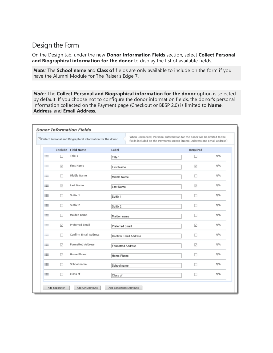#### <span id="page-4-0"></span>Design the Form

On the Design tab, under the new **Donor Information Fields** section, select **Collect Personal and Biographical information for the donor** to display the list of available fields.

*Note:* The **School name** and **Class of** fields are only available to include on the form if you have the Alumni Module for The Raiser's Edge 7.

*Note:* The **Collect Personal and Biographical information for the donor** option is selected by default. If you choose not to configure the donor information fields, the donor's personal information collected on the Payment page (Checkout or BBSP 2.0) is limited to **Name**, **Address**, and **Email Address**.

|   |               | $\boxdot$ Collect Personal and Biographical information for the donor |                           | When unchecked, Personal Information for the donor will be limited to the<br>fields included on the Payments screen (Name, Address and Email address) |     |
|---|---------------|-----------------------------------------------------------------------|---------------------------|-------------------------------------------------------------------------------------------------------------------------------------------------------|-----|
|   |               | <b>Include Field Name</b>                                             | Label                     | Required                                                                                                                                              |     |
| m | п             | Title 1                                                               | Title 1                   | П                                                                                                                                                     | N/A |
| ▒ | $\checkmark$  | First Name                                                            | <b>First Name</b>         | $\checkmark$                                                                                                                                          | N/A |
| ₩ | п             | Middle Name                                                           | Middle Name               | □                                                                                                                                                     | N/A |
| m | $\checkmark$  | Last Name                                                             | Last Name                 | $\checkmark$                                                                                                                                          | N/A |
| ⊞ | п             | Suffix 1                                                              | Suffix 1                  | п                                                                                                                                                     | N/A |
| m | п             | Suffix 2                                                              | Suffix 2                  | □                                                                                                                                                     | N/A |
| ▒ | п             | Maiden name                                                           | Maiden name               | П                                                                                                                                                     | N/A |
| ₩ | ☑             | Preferred Email                                                       | <b>Preferred Email</b>    | ☑                                                                                                                                                     | N/A |
| ः | п             | Confirm Email Address                                                 | Confirm Email Address     | □                                                                                                                                                     | N/A |
| m | ☑             | <b>Formatted Address</b>                                              | <b>Formatted Address</b>  | $\triangledown$                                                                                                                                       | N/A |
| ₩ | ☑             | Home Phone                                                            | Home Phone                | П                                                                                                                                                     | N/A |
| ▒ | п             | School name                                                           | School name               | п                                                                                                                                                     | N/A |
| ₩ | п             | Class of                                                              | Class of                  | П                                                                                                                                                     | N/A |
|   | Add Separator | Add Gift Attribute                                                    | Add Constituent Attribute |                                                                                                                                                       |     |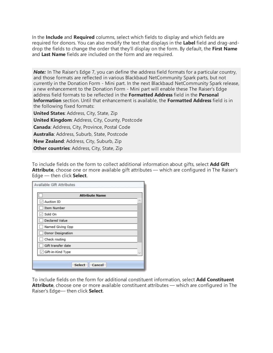In the **Include** and **Required** columns, select which fields to display and which fields are required for donors. You can also modify the text that displays in the **Label** field and drag-anddrop the fields to change the order that they'll display on the form. By default, the **First Name** and **Last Name** fields are included on the form and are required.

**Note:** In The Raiser's Edge 7, you can define the address field formats for a particular country, and those formats are reflected in various Blackbaud NetCommunity Spark parts, but not currently in the Donation Form - Mini part. In the next Blackbaud NetCommunity Spark release, a new enhancement to the Donation Form - Mini part will enable these The Raiser's Edge address field formats to be reflected in the **Formatted Address** field in the **Personal Information** section. Until that enhancement is available, the **Formatted Address** field is in the following fixed formats:

**United States**: Address, City, State, Zip **United Kingdom**: Address, City, County, Postcode **Canada**: Address, City, Province, Postal Code **Australia**: Address, Suburb, State, Postcode **New Zealand**: Address, City, Suburb, Zip **Other countries**: Address, City, State, Zip

To include fields on the form to collect additional information about gifts, select **Add Gift Attribute**, choose one or more available gift attributes — which are configured in The Raiser's Edge — then click **Select**.

| Available Gift Attributes |  |
|---------------------------|--|
| <b>Attribute Name</b>     |  |
| Auction ID                |  |
| Item Number               |  |
| Sold On                   |  |
| Declared Value            |  |
| Named Giving Opp          |  |
| Donor Designation         |  |
| Check routing             |  |
| Gift transfer date        |  |
| Gift-in-Kind Type         |  |
|                           |  |
| Select<br>Cancel          |  |

To include fields on the form for additional constituent information, select **Add Constituent Attribute**, choose one or more available constituent attributes — which are configured in The Raiser's Edge— then click **Select**.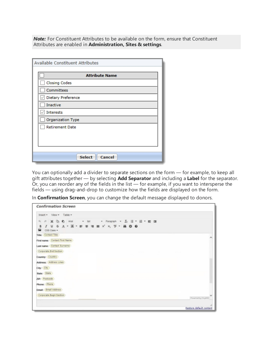**Note:** For Constituent Attributes to be available on the form, ensure that Constituent Attributes are enabled in **Administration, Sites & settings**.

| Available Constituent Attributes |
|----------------------------------|
| <b>Attribute Name</b>            |
| Closing Codes                    |
| Committees                       |
| Dietary Preference               |
| Inactive                         |
| Interests                        |
| Organization Type                |
| <b>Retirement Date</b>           |
|                                  |
|                                  |
|                                  |
| <b>Select</b><br>Cancel          |

You can optionally add a divider to separate sections on the form — for example, to keep all gift attributes together — by selecting **Add Separator** and including a **Label** for the separator. Or, you can reorder any of the fields in the list — for example, if you want to intersperse the fields — using drag-and-drop to customize how the fields are displayed on the form.

In **Confirmation Screen**, you can change the default message displayed to donors.

| <b>Confirmation Screen</b>                                                                        |                         |
|---------------------------------------------------------------------------------------------------|-------------------------|
| Insert view * Table *                                                                             |                         |
| X D C Arial<br>• 9pt • Paragraph • ム 注 • 狂 • 亜 理<br>$\sigma^{\mu}$<br>$\mathcal{D}_{\mathcal{A}}$ |                         |
| <b>I U S A . A . E . E . E . K X &amp; . W . O</b><br>B<br>CSS Class +                            |                         |
| <b>Title: Contact Title</b>                                                                       |                         |
| First name: Contact First Name                                                                    | Α                       |
| Last name: Contact Surname                                                                        |                         |
| Corporate.End Section                                                                             |                         |
| Country: Country                                                                                  |                         |
| Address: Address Lines                                                                            |                         |
| City: City                                                                                        |                         |
| State: State                                                                                      |                         |
| ZIP: Postcode                                                                                     |                         |
| Phone: Phone                                                                                      |                         |
| Email: Email Address                                                                              |                         |
| Corporate.Begin Section                                                                           |                         |
|                                                                                                   | Povered by TinyRCE      |
|                                                                                                   |                         |
|                                                                                                   | Restore default content |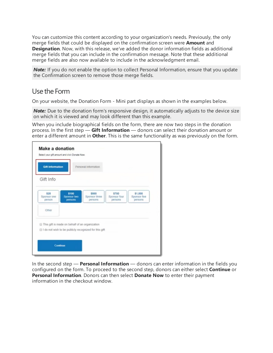You can customize this content according to your organization's needs. Previously, the only merge fields that could be displayed on the confirmation screen were **Amount** and **Designation**. Now, with this release, we've added the donor information fields as additional merge fields that you can include in the confirmation message. Note that these additional merge fields are also now available to include in the acknowledgment email.

**Note:** If you do not enable the option to collect Personal Information, ensure that you update the Confirmation screen to remove those merge fields.

#### <span id="page-7-0"></span>Use the Form

On your website, the Donation Form - Mini part displays as shown in the examples below.

**Note:** Due to the donation form's responsive design, it automatically adjusts to the device size on which it is viewed and may look different than this example.

When you include biographical fields on the form, there are now two steps in the donation process. In the first step — **Gift Information** — donors can select their donation amount or enter a different amount in **Other**. This is the same functionality as was previously on the form.

| Gift Info                     |                                                |                                                       |                                  |                                    |
|-------------------------------|------------------------------------------------|-------------------------------------------------------|----------------------------------|------------------------------------|
| \$25<br>Sponsor one<br>person | \$100<br>Sponsor two<br>persons                | \$500<br>Sponsor three<br>persons                     | \$700<br>Sponsor four<br>persons | \$1,000<br>Sponsor five<br>persons |
| Other                         |                                                |                                                       |                                  |                                    |
|                               | This gift is made on behalf of an organization | I do not wish to be publicly recognized for this gift |                                  |                                    |

In the second step — **Personal Information** — donors can enter information in the fields you configured on the form. To proceed to the second step, donors can either select **Continue** or **Personal Information**. Donors can then select **Donate Now** to enter their payment information in the checkout window.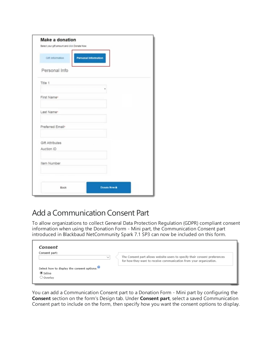| Select your gift amount and click Donate Now. |                             |  |  |
|-----------------------------------------------|-----------------------------|--|--|
| <b>Gift Information</b>                       | <b>Personal Information</b> |  |  |
| Personal Info                                 |                             |  |  |
| Title 1                                       |                             |  |  |
| First Name*                                   |                             |  |  |
| Last Name*                                    |                             |  |  |
| Preferred Email*                              |                             |  |  |
| <b>Gift Attributes</b><br>Auction ID          |                             |  |  |
| Item Number                                   |                             |  |  |
|                                               |                             |  |  |

### <span id="page-8-0"></span>Add a Communication Consent Part

To allow organizations to collect General Data Protection Regulation (GDPR) compliant consent information when using the Donation Form - Mini part, the Communication Consent part introduced in Blackbaud NetCommunity Spark 7.1 SP3 can now be included on this form.

| Consent part:                              |              |                                                                                                                                                  |
|--------------------------------------------|--------------|--------------------------------------------------------------------------------------------------------------------------------------------------|
|                                            | $\checkmark$ | The Consent part allows website users to specify their consent preferences<br>for how they want to receive communication from your organization. |
| Select how to display the consent options: |              |                                                                                                                                                  |
| $\odot$ Inline                             |              |                                                                                                                                                  |

You can add a Communication Consent part to a Donation Form - Mini part by configuring the **Consent** section on the form's Design tab. Under **Consent part**, select a saved Communication Consent part to include on the form, then specify how you want the consent options to display.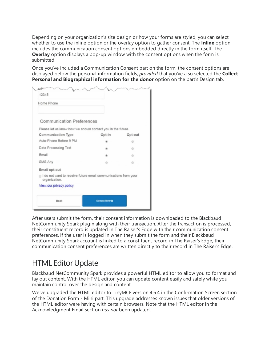Depending on your organization's site design or how your forms are styled, you can select whether to use the inline option or the overlay option to gather consent. The **Inline** option includes the communication consent options embedded directly in the form itself. The **Overlay** option displays a pop-up window with the consent options when the form is submitted.

Once you've included a Communication Consent part on the form, the consent options are displayed below the personal information fields, *provided* that you've also selected the **Collect Personal and Biographical information for the donor** option on the part's Design tab.

| <b>Communication Preferences</b><br>Opt-in                                                                                                   |   | Opt-out<br>ø |
|----------------------------------------------------------------------------------------------------------------------------------------------|---|--------------|
| Please let us know how we should contact you in the future.<br>Communication Type<br>Auto-Phone Before 9 PM<br>Data Processing Test<br>Email |   |              |
|                                                                                                                                              |   |              |
|                                                                                                                                              |   |              |
|                                                                                                                                              |   |              |
|                                                                                                                                              |   | ö            |
| SMS Any                                                                                                                                      |   | e            |
|                                                                                                                                              | ÷ | $\odot$      |
| Email opt-out                                                                                                                                |   |              |
| I do not want to receive future email communications from your<br>organization.                                                              |   |              |
| View our privacy policy                                                                                                                      |   |              |

After users submit the form, their consent information is downloaded to the Blackbaud NetCommunity Spark plugin along with their transaction. After the transaction is processed, their constituent record is updated in The Raiser's Edge with their communication consent preferences. If the user is logged in when they submit the form and their Blackbaud NetCommunity Spark account is linked to a constituent record in The Raiser's Edge, their communication consent preferences are written directly to their record in The Raiser's Edge.

### <span id="page-9-0"></span>**HTML Editor Update**

Blackbaud NetCommunity Spark provides a powerful HTML editor to allow you to format and lay out content. With the HTML editor, you can update content easily and safely while you maintain control over the design and content.

We've upgraded the HTML editor to TinyMCE version 4.6.4 in the Confirmation Screen section of the Donation Form - Mini part. This upgrade addresses known issues that older versions of the HTML editor were having with certain browsers. Note that the HTML editor in the Acknowledgment Email section *has not* been updated.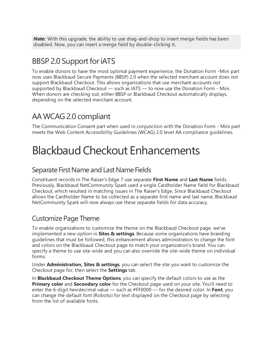**Note:** With this upgrade, the ability to use drag-and-drop to insert merge fields has been disabled. Now, you can insert a merge field by double-clicking it.

### <span id="page-10-0"></span>BBSP 2.0 Support foriATS

To enable donors to have the most optimal payment experience, the Donation Form -Mini part now uses Blackbaud Secure Payments (BBSP) 2.0 when the selected merchant account does not support Blackbaud Checkout. This allows organizations that use merchant accounts not supported by Blackbaud Checkout — such as IATS — to now use the Donation Form - Mini. When donors are checking out, either BBSP or Blackbaud Checkout automatically displays, depending on the selected merchant account.

### <span id="page-10-1"></span>AA WCAG 2.0 compliant

<span id="page-10-2"></span>The Communication Consent part when used in conjunction with the Donation Form - Mini part meets the Web Content Accessibility Guidelines (WCAG) 2.0 level AA compliance guidelines.

# BlackbaudCheckout Enhancements

#### <span id="page-10-3"></span>Separate First Name and Last Name Fields

Constituent records in The Raiser's Edge 7 use separate **First Name** and **Last Name** fields. Previously, Blackbaud NetCommunity Spark used a single Cardholder Name field for Blackbaud Checkout, which resulted in matching issues in The Raiser's Edge, Since Blackbaud Checkout allows the Cardholder Name to be collected as a separate first name and last name, Blackbaud NetCommunity Spark will now always use these separate fields for data accuracy.

### <span id="page-10-4"></span>Customize Page Theme

To enable organizations to customize the theme on the Blackbaud Checkout page, we've implemented a new option in **Sites & settings**. Because some organizations have branding guidelines that must be followed, this enhancement allows administrators to change the font and colors on the Blackbaud Checkout page to match your organization's brand. You can specify a theme to use site-wide and you can also override the site-wide theme on individual forms.

Under **Administration, Sites & settings**, you can select the site you want to customize the Checkout page for, then select the **Settings** tab.

In **Blackbaud Checkout Theme Options**, you can specify the default colors to use as the **Primary color** and **Secondary color** for the Checkout page used on your site. You'll need to enter the 6-digit hexidecimal value — such as #FF0000 — for the desired color. In **Font**, you can change the default font (Roboto) for text displayed on the Checkout page by selecting from the list of available fonts.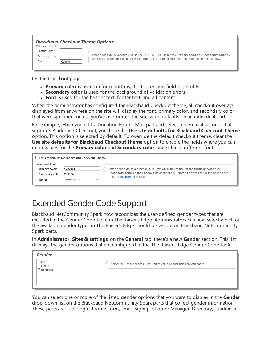| <b>Blackbaud Checkout Theme Options</b><br>Colors and Font         |                                                                                                                                                                                                              |  |
|--------------------------------------------------------------------|--------------------------------------------------------------------------------------------------------------------------------------------------------------------------------------------------------------|--|
| Primary color<br>Secondary color<br>Roboto<br>Font<br>$\checkmark$ | Enter a six-digit hexadecimal value (ex: #FF0000) to use for the Primary color and Secondary color on<br>the Checkout payment page. Select a Font to use for the page's text. Refer to the help for details. |  |

On the Checkout page:

- **Primary color** is used on form buttons, the footer, and field highlights
- **Secondary color** is used for the background of validation errors
- **Font** is used for the header text, footer text, and all content

When the administrator has configured the Blackbaud Checkout theme, all checkout overlays displayed from anywhere on the site will display the font, primary color, and secondary color that were specified, unless you've overridden the site-wide defaults on an individual part.

For example, when you edit a Donation Form - Mini part and select a merchant account that supports Blackbaud Checkout, you'll see the **Use site defaults for Blackbaud Checkout Theme** option. This option is selected by default. To override the default checkout theme, clear the **Use site defaults for Blackbaud Checkout theme** option to enable the fields where you can enter values for the **Primary color** and **Secondary color**, and select a different font.

|                  | Use site defaults for Blackbaud Checkout Theme |                                                                                           |
|------------------|------------------------------------------------|-------------------------------------------------------------------------------------------|
| Colors and Font  |                                                |                                                                                           |
| Primary color:   | #3eb4c1                                        | Enter a six-digit hexadecimal value (ex: #FF0000) to use for the <b>Primary color</b> and |
| Secondary color: | #ffe6e6                                        | Secondary color on the Checkout payment page. Select a Font to use for the page's text.   |
| Fonts:           | Georgia                                        | Refer to the help for details.                                                            |
|                  |                                                |                                                                                           |

## <span id="page-11-0"></span>Extended Gender Code Support

Blackbaud NetCommunity Spark now recognizes the user-defined gender types that are included in the Gender Code table in The Raiser's Edge. Administrators can now select which of the available gender types in The Raiser's Edge should be visible on Blackbaud NetCommunity Spark parts.

In **Administrator, Sites & settings**, on the **General** tab, there's a new **Gender** section. This list displays the gender options that are configured in the The Raiser's Edge Gender Code table.

| Gender                                                |                                                                          |
|-------------------------------------------------------|--------------------------------------------------------------------------|
| $\vee$ Male<br>$\boxdot$ Female<br>$\sqrt{2}$ Unknown | Select the Gender options users can select in Gender fields on web pages |
|                                                       |                                                                          |

You can select one or more of the listed gender options that you want to display in the **Gender** drop-down list on the Blackbaud NetCommunity Spark parts that collect gender information. These parts are User Login, Profile Form, Email Signup, Chapter Manager, Directory, Fundraiser,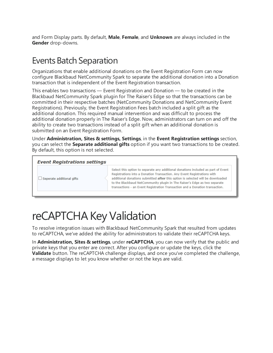and Form Display parts. By default, **Male**, **Female**, and **Unknown** are always included in the **Gender** drop-downs.

### <span id="page-12-0"></span>**Events Batch Separation**

Organizations that enable additional donations on the Event Registration Form can now configure Blackbaud NetCommunity Spark to separate the additional donation into a Donation transaction that is independent of the Event Registration transaction.

This enables two transactions — Event Registration and Donation — to be created in the Blackbaud NetCommunity Spark plugin for The Raiser's Edge so that the transactions can be committed in their respective batches (NetCommunity Donations and NetCommunity Event Registrations). Previously, the Event Registration Fees batch included a split gift as the additional donation. This required manual intervention and was difficult to process the additional donation properly in The Raiser's Edge. Now, administrators can turn on and off the ability to create two transactions instead of a split gift when an additional donation is submitted on an Event Registration Form.

Under **Administration, Sites & settings, Settings**, in the **Event Registration settings** section, you can select the **Separate additional gifts** option if you want two transactions to be created. By default, this option is not selected.

| <b>Event Registrations settings</b> |  |  |
|-------------------------------------|--|--|
|                                     |  |  |

 $\Box$  Seperate additional gifts

Select this option to separate any additional donations included as part of Event Registrations into a Donation Transaction. Any Event Registrations with additional donations submitted after this option is selected will be downloaded to the Blackbaud NetCommunity plugin in The Raiser's Edge as two separate transactions - an Event Registration Transaction and a Donation transaction.

# <span id="page-12-1"></span>reCAPTCHA Key Validation

To resolve integration issues with Blackbaud NetCommunity Spark that resulted from updates to reCAPTCHA, we've added the ability for administrators to validate their reCAPTCHA keys.

In **Administration, Sites & settings**, under **reCAPTCHA**, you can now verify that the public and private keys that you enter are correct. After you configure or update the keys, click the **Validate** button. The reCAPTCHA challenge displays, and once you've completed the challenge, a message displays to let you know whether or not the keys are valid.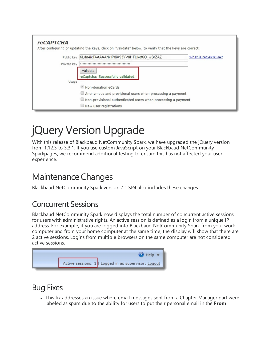| <b>reCAPTCHA</b><br>After configuring or updating the keys, click on "Validate" below, to verify that the keys are correct. |                    |  |  |  |
|-----------------------------------------------------------------------------------------------------------------------------|--------------------|--|--|--|
| Public key: 6Ldn4ikTAAAAANcIP8iX93YV8HTUkof6O wBrZAZ                                                                        | What is reCAPTCHA? |  |  |  |
| Private key: •••••••••••••••••••••••••                                                                                      |                    |  |  |  |
| Validate<br>reCaptcha: Successfully validated.                                                                              |                    |  |  |  |
| Usage:                                                                                                                      |                    |  |  |  |
| Non-donation eCards                                                                                                         |                    |  |  |  |
| Anonymous and provisional users when processing a payment                                                                   |                    |  |  |  |
| $\Box$ Non-provisional authenticated users when processing a payment                                                        |                    |  |  |  |
| $\Box$ New user registrations                                                                                               |                    |  |  |  |

# <span id="page-13-0"></span>jQuery Version Upgrade

With this release of Blackbaud NetCommunity Spark, we have upgraded the jQuery version from 1.12.3 to 3.3.1. If you use custom JavaScript on your Blackbaud NetCommunity Sparkpages, we recommend additional testing to ensure this has not affected your user experience.

### <span id="page-13-1"></span>Maintenance Changes

Blackbaud NetCommunity Spark version 7.1 SP4 also includes these changes.

### <span id="page-13-2"></span>Concurrent Sessions

Blackbaud NetCommunity Spark now displays the total number of concurrent active sessions for users with administrative rights. An active session is defined as a login from a unique IP address. For example, if you are logged into Blackbaud NetCommunity Spark from your work computer and from your home computer at the same time, the display will show that there are 2 active sessions. Logins from multiple browsers on the same computer are not considered active sessions.



### <span id="page-13-3"></span>Bug Fixes

• This fix addresses an issue where email messages sent from a Chapter Manager part were labeled as spam due to the ability for users to put their personal email in the **From**